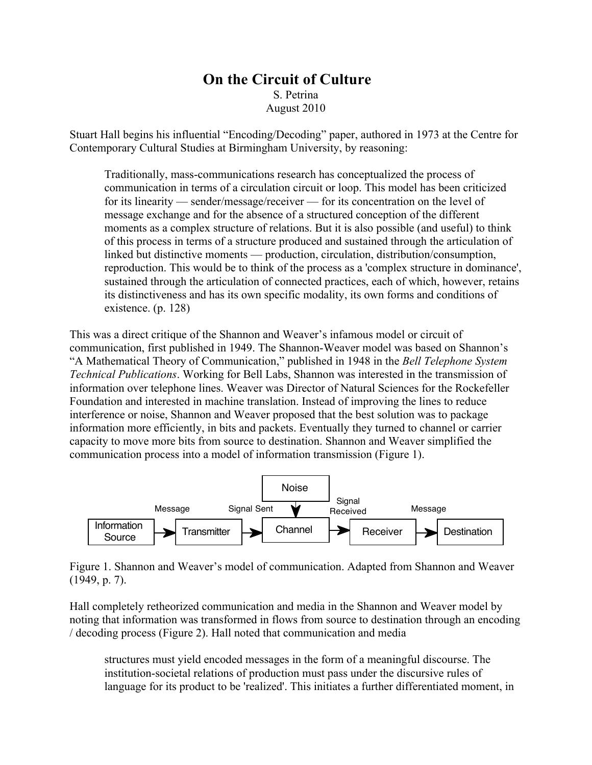## **On the Circuit of Culture** S. Petrina August 2010

Stuart Hall begins his influential "Encoding/Decoding" paper, authored in 1973 at the Centre for Contemporary Cultural Studies at Birmingham University, by reasoning:

Traditionally, mass-communications research has conceptualized the process of communication in terms of a circulation circuit or loop. This model has been criticized for its linearity — sender/message/receiver — for its concentration on the level of message exchange and for the absence of a structured conception of the different moments as a complex structure of relations. But it is also possible (and useful) to think of this process in terms of a structure produced and sustained through the articulation of linked but distinctive moments — production, circulation, distribution/consumption, reproduction. This would be to think of the process as a 'complex structure in dominance', sustained through the articulation of connected practices, each of which, however, retains its distinctiveness and has its own specific modality, its own forms and conditions of existence. (p. 128)

This was a direct critique of the Shannon and Weaver's infamous model or circuit of communication, first published in 1949. The Shannon-Weaver model was based on Shannon's "A Mathematical Theory of Communication," published in 1948 in the *Bell Telephone System Technical Publications*. Working for Bell Labs, Shannon was interested in the transmission of information over telephone lines. Weaver was Director of Natural Sciences for the Rockefeller Foundation and interested in machine translation. Instead of improving the lines to reduce interference or noise, Shannon and Weaver proposed that the best solution was to package information more efficiently, in bits and packets. Eventually they turned to channel or carrier capacity to move more bits from source to destination. Shannon and Weaver simplified the communication process into a model of information transmission (Figure 1).



Figure 1. Shannon and Weaver's model of communication. Adapted from Shannon and Weaver (1949, p. 7).

Hall completely retheorized communication and media in the Shannon and Weaver model by noting that information was transformed in flows from source to destination through an encoding / decoding process (Figure 2). Hall noted that communication and media

structures must yield encoded messages in the form of a meaningful discourse. The institution-societal relations of production must pass under the discursive rules of language for its product to be 'realized'. This initiates a further differentiated moment, in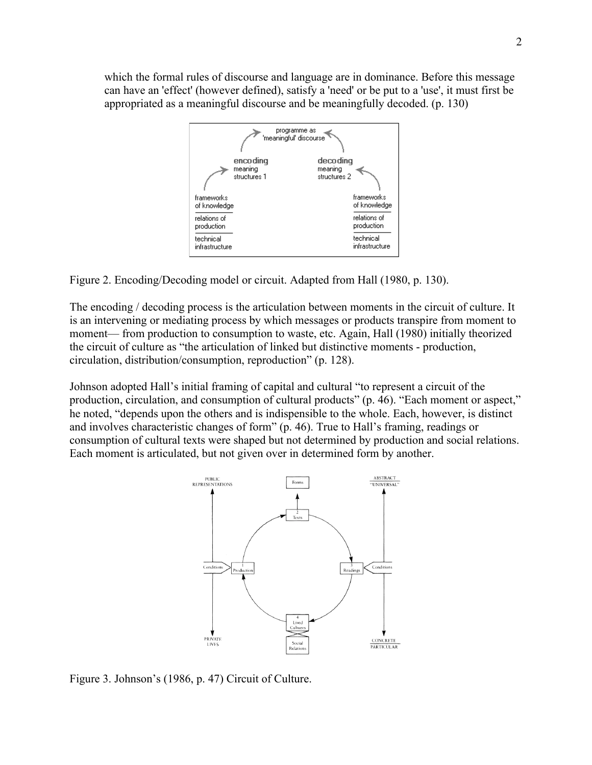which the formal rules of discourse and language are in dominance. Before this message can have an 'effect' (however defined), satisfy a 'need' or be put to a 'use', it must first be appropriated as a meaningful discourse and be meaningfully decoded. (p. 130)



Figure 2. Encoding/Decoding model or circuit. Adapted from Hall (1980, p. 130).

The encoding / decoding process is the articulation between moments in the circuit of culture. It is an intervening or mediating process by which messages or products transpire from moment to moment— from production to consumption to waste, etc. Again, Hall (1980) initially theorized the circuit of culture as "the articulation of linked but distinctive moments - production, circulation, distribution/consumption, reproduction" (p. 128).

Johnson adopted Hall's initial framing of capital and cultural "to represent a circuit of the production, circulation, and consumption of cultural products" (p. 46). "Each moment or aspect," he noted, "depends upon the others and is indispensible to the whole. Each, however, is distinct and involves characteristic changes of form" (p. 46). True to Hall's framing, readings or consumption of cultural texts were shaped but not determined by production and social relations. Each moment is articulated, but not given over in determined form by another.



Figure 3. Johnson's (1986, p. 47) Circuit of Culture.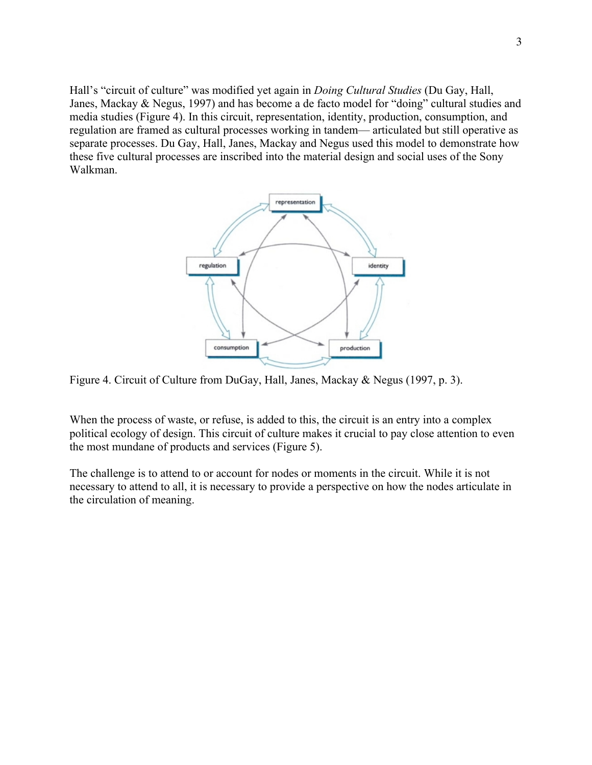Hall's "circuit of culture" was modified yet again in *Doing Cultural Studies* (Du Gay, Hall, Janes, Mackay & Negus, 1997) and has become a de facto model for "doing" cultural studies and media studies (Figure 4). In this circuit, representation, identity, production, consumption, and regulation are framed as cultural processes working in tandem— articulated but still operative as separate processes. Du Gay, Hall, Janes, Mackay and Negus used this model to demonstrate how these five cultural processes are inscribed into the material design and social uses of the Sony Walkman.



Figure 4. Circuit of Culture from DuGay, Hall, Janes, Mackay & Negus (1997, p. 3).

When the process of waste, or refuse, is added to this, the circuit is an entry into a complex political ecology of design. This circuit of culture makes it crucial to pay close attention to even the most mundane of products and services (Figure 5).

The challenge is to attend to or account for nodes or moments in the circuit. While it is not necessary to attend to all, it is necessary to provide a perspective on how the nodes articulate in the circulation of meaning.